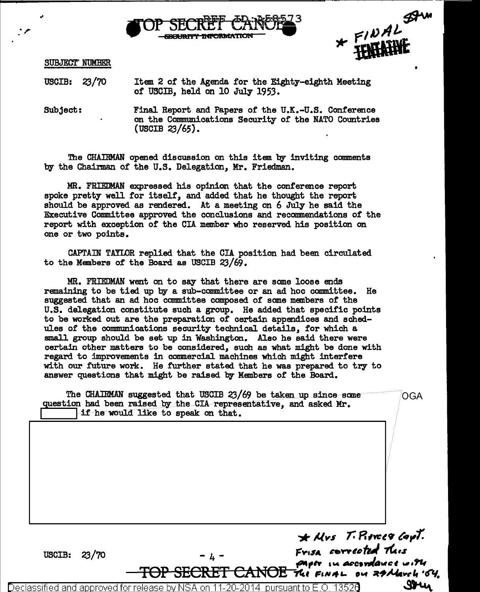



SUBJECT' NUMBER

.<br>.<br>.

USCIB: ZJ/70 Item 2 of the Agenda for the Eighty-eighth Meeting of USCIB, held on 10 July 1953.

Subject: Final Report and Papers of the U.K.-U.S. Conference on the Communications Security of the NATO Countries (USCIB 23/65).

The CHAIRMAN opened discussion on this item by inviting comments by the Chairman of the U.S. Delegation, Mr. Friedman.

MR. FRIEDMAN expressed his opinion that the conference report spoke pretty well for itself, and added that he thought the report should be approved as rendered. At a meeting on 6 July he said the Executive Committee approved the conclusions and recommendations of the report with exception of the CIA member who reserved his position on one or two points.

CAPTAIN TAYLOR replied that the CIA position had been circulated to the Members of the Board as USCIB ZJ/69.

MR. FRIEDMAN went on to say that there are some loose ends remaining to be tied up by a sub-committee or an ad hoc committee. He suggested that an ad hoc committee composed of some members of the U.S. delegation constitute such a group. He added that specific points to be worked out are the preparation of certain appendices and schedules of the communications security technical details, for which a small group should be set up in Washington. Also he said there were certain other matters to be considered, such as what might be done with regard to improvements in commercial machines which might interfere with our future work. He further stated that he was prepared to try to answer questions that might be raised by Members of' the Board.

The CHAIRMAN suggested that USCIB 23/69 be taken up since some  $OGA$ question had been raised by the CIA representative, and asked Mr.<br><sup>1</sup> 1f he would like to speak on that.

'\* **J,lvs /.** *Rtw:t'7 (' •.,1'.*  USCIB:  $23/70$   $-4 -$  Frisa corrected this fager in accordance with TOP SECRET CANOE *Refermation on a take of the SECRET*<br>eclassified and approved for release by NSA on 11-20-2014 pursuant to E.O. 13520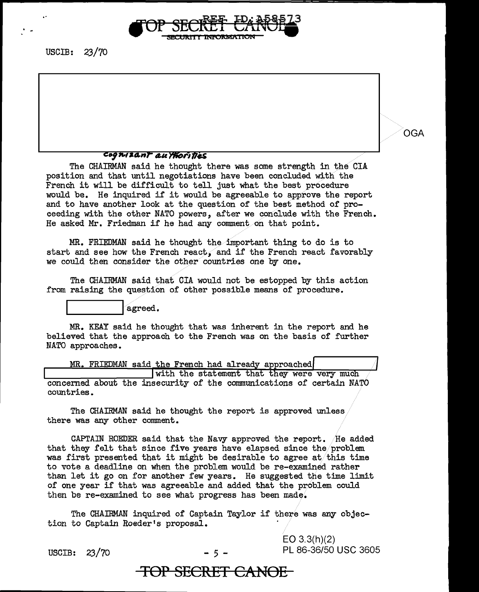

## .... , ,.,, *aa.nr* **"'" nt0r111..S**

The CHAIRMAN said he thought there was some strength in the CIA position and that until negotiations have been concluded with the French it will be difficult to tell just what the best procedure would be. He inquired if it would be agreeable to approve the report and to have another look at the question of the best method of proceeding with the other NATO powers, after we conclude with the French. He asked Mr. Friedman if he had any comment on that point.

 $MR.$  FRIEDMAN said he thought the important thing to do is to start and see how the French react, and if the French react favorably we could then consider the other countries one by one.

The CHAIRMAN said that CIA would not be estopped by this action from raising the question of other possible means of procedure.

agreed.

MR. KEAY said he thought that was inherent in the report and he believed that the approach to the French was on the basis of further NATO approaches.

with the statement that they were very muc ....\_\_ \_\_\_\_\_\_\_\_ \_\_\_,,\_... concerned about the insecurity of the communications of certain NATO countries.

The CHAIRMAN said he thought the report is approved unless there was any other comment.

CAPTAIN ROEDER said that the Navy approved the report. He added that they felt that since five years have elapsed since the/problem was first presented that it might be desirable to agree at/this time to vote a deadline on when the problem would be re-examined rather than let it go on for another few years. He suggested the time limit of one year if that was agreeable and added that the problem could then be re-examined to see what progress has been made.

The CHAIRMAN inquired of Captain Taylor if there was any objection to Captain Roeder 1s proposal.

EO 3.3(h)(2) USCIB:  $23/70$  - 5 - PL 86-36/50 USC 3605 OGA

**TOP SECRET CANDE**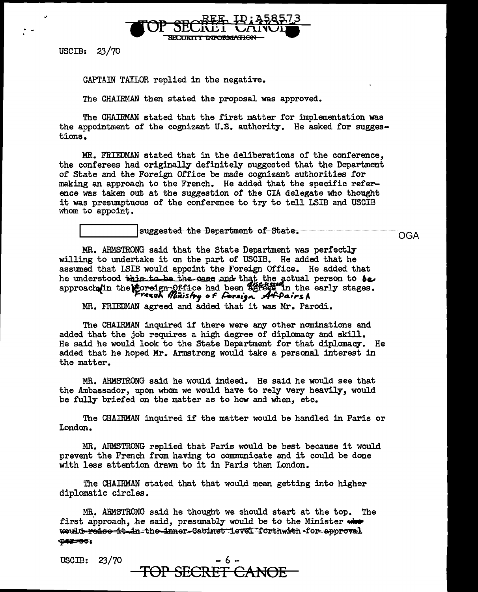

. . -

CAPTAm TAYLOR replied in the negative.

The CHAIRMAN then stated the proposal was approved.

The CHAIRMAN stated that the first matter for implementation was the appointment of the cognizant U.S. authority. He asked for suggestions.

MR. FRIEDMAN stated that in the deliberations of the conference, the conferees had originally definitely suggested that the Department of State and the Foreign Office be made cognizant authorities for making an approach to the French. He added that the specific reference was taken out at the suggestion of the CIA delegate who thought it was presumptuous of the conference to try to tell LSIB and USCIB whom to appoint.

suggested the Department of State.

OGA

MR. ARMSTRONG said that the State Department was perfectly willing to undertake it on the part of USCIB. He added that he assumed that LSIB would appoint the Foreign Office. He added that he understood this to be the case and that the actual person to be approach in the loreign- $\Omega$ ffice had been agreed in the early stages. **l"C1u11\** *lfl,.itis./J.y* **o F** */:.r.a1.jlll.* **,A4./J4,",-5 A** 

MR. FRIEDMAN agreed and added that it was Mr. Parodi.

The CHAIRMAN inquired if there were any other nominations and added that the job requires a high degree of diplomacy and skill. He said he would look to the State Department for that diplomacy. He added that he hoped Mr. Armstrong would take a personal interest in the matter.

MR. ARMSTRONG said he would indeed. He said he would see that the Ambassador, upon whom we would have to rely very heavily, would be fully briefed on the matter as to how and when, etc.

The CHAIRMAN inquired if the matter would be handled in Paris or London.

MR. ARMSTRONG replied that Paris would be best because it would prevent the French from having to communicate and it could be done with less attention drawn to it in Paris than London.

The CHAIRMAN stated that that would mean getting into higher diplomatic circles.

MR. ARMSTRONG said he thought we should start at the top. The first approach, he said, presumably would be to the Minister where would-raise it in the inner-Cabinet level forthwith for approval **'P'iif II 6-l** 

USCIB:  $23/70$ 

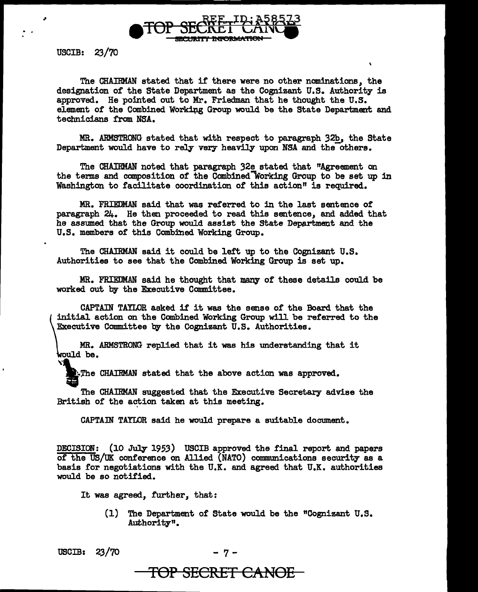

. .

The CHAIRMAN stated that if' there were no other nominations, the designation of the State Department as the Cognizant U.S. Authority is approved. He pointed out to Mr. Friedman that he thought the U.S. element of the Combined Working Group would be the State Department and technicians from NSA.

MR. ARMSTRONG stated that with respect to paragraph 32b, the State Department would have to rely very heavily upon NSA and the others.

The CHAIRMAN noted that paragraph 32e stated that "Agreement on the terms and composition of the Combined-Working Group to be set up in Washington to facilitate coordination of this action" is required.

MR. FRIEDMAN said that was referred to in the last sentence of paragraph  $24.$  He then proceeded to read this sentence, and added that he assumed that the Group would assist the State Department and the U.S. members of this Combined Working Group.

The CHAIRMAN said it could be left up to the Cognizant U.S. Authorities to see that the Combined Working Group is set up.

MR. FRIEDMAN said he thought that many of these details could be worked out by the Executive Committee.

CAPTAIN TAYLOR asked if it was the sense of the Board that the tin<br>Alba<br>Yi initial action on the Combined Working Group will be referred to the Executive Committee by the Cognizant U.S. Authorities.

MR. ARMSTRONG replied that it was his understanding that it ,<br>\rould be.

**E.The CHAIRMAN stated that the above action was approved.** 

The CHAIRMAN suggested that the Executive Secretary advise the British of the action taken at this meeting.

CAPTAIN TAYLOR said he would prepare a suitable document.

DECISION: (10 July 1953) USCIB approved the final report and papers of the US/UK conference on Allied (NATO) communications security as a basis for negotiations with the U.K. and agreed that U.K. authorities would be so notified.

It was agreed, further, that:

(1) The Department of State would be the "Cognizant U.S. Authority".

 $USCIB: 23/70$